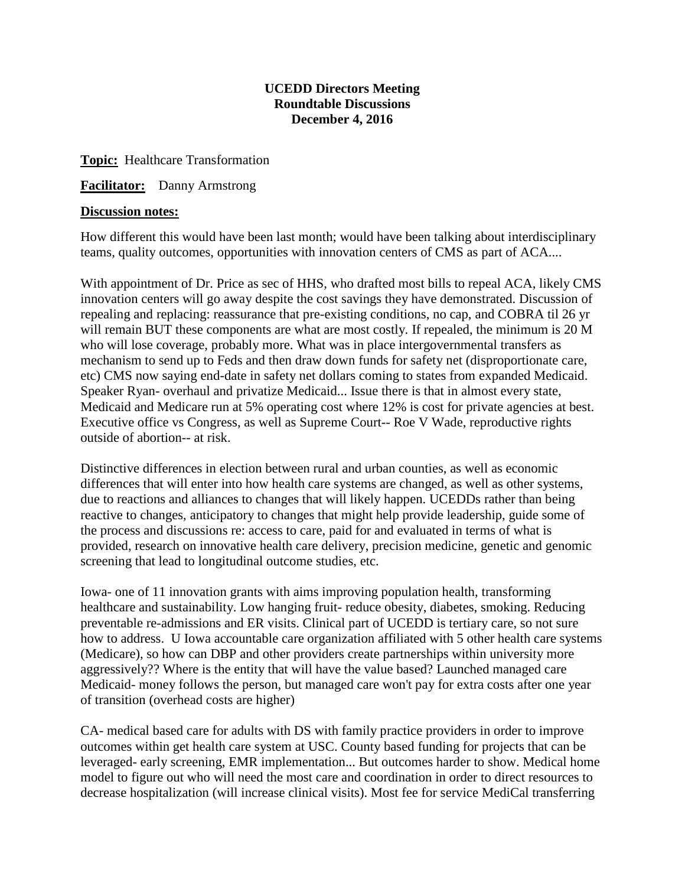## **UCEDD Directors Meeting Roundtable Discussions December 4, 2016**

**Topic:** Healthcare Transformation

**Facilitator:** Danny Armstrong

## **Discussion notes:**

How different this would have been last month; would have been talking about interdisciplinary teams, quality outcomes, opportunities with innovation centers of CMS as part of ACA....

With appointment of Dr. Price as sec of HHS, who drafted most bills to repeal ACA, likely CMS innovation centers will go away despite the cost savings they have demonstrated. Discussion of repealing and replacing: reassurance that pre-existing conditions, no cap, and COBRA til 26 yr will remain BUT these components are what are most costly. If repealed, the minimum is 20 M who will lose coverage, probably more. What was in place intergovernmental transfers as mechanism to send up to Feds and then draw down funds for safety net (disproportionate care, etc) CMS now saying end-date in safety net dollars coming to states from expanded Medicaid. Speaker Ryan- overhaul and privatize Medicaid... Issue there is that in almost every state, Medicaid and Medicare run at 5% operating cost where 12% is cost for private agencies at best. Executive office vs Congress, as well as Supreme Court-- Roe V Wade, reproductive rights outside of abortion-- at risk.

Distinctive differences in election between rural and urban counties, as well as economic differences that will enter into how health care systems are changed, as well as other systems, due to reactions and alliances to changes that will likely happen. UCEDDs rather than being reactive to changes, anticipatory to changes that might help provide leadership, guide some of the process and discussions re: access to care, paid for and evaluated in terms of what is provided, research on innovative health care delivery, precision medicine, genetic and genomic screening that lead to longitudinal outcome studies, etc.

Iowa- one of 11 innovation grants with aims improving population health, transforming healthcare and sustainability. Low hanging fruit- reduce obesity, diabetes, smoking. Reducing preventable re-admissions and ER visits. Clinical part of UCEDD is tertiary care, so not sure how to address. U Iowa accountable care organization affiliated with 5 other health care systems (Medicare), so how can DBP and other providers create partnerships within university more aggressively?? Where is the entity that will have the value based? Launched managed care Medicaid- money follows the person, but managed care won't pay for extra costs after one year of transition (overhead costs are higher)

CA- medical based care for adults with DS with family practice providers in order to improve outcomes within get health care system at USC. County based funding for projects that can be leveraged- early screening, EMR implementation... But outcomes harder to show. Medical home model to figure out who will need the most care and coordination in order to direct resources to decrease hospitalization (will increase clinical visits). Most fee for service MediCal transferring